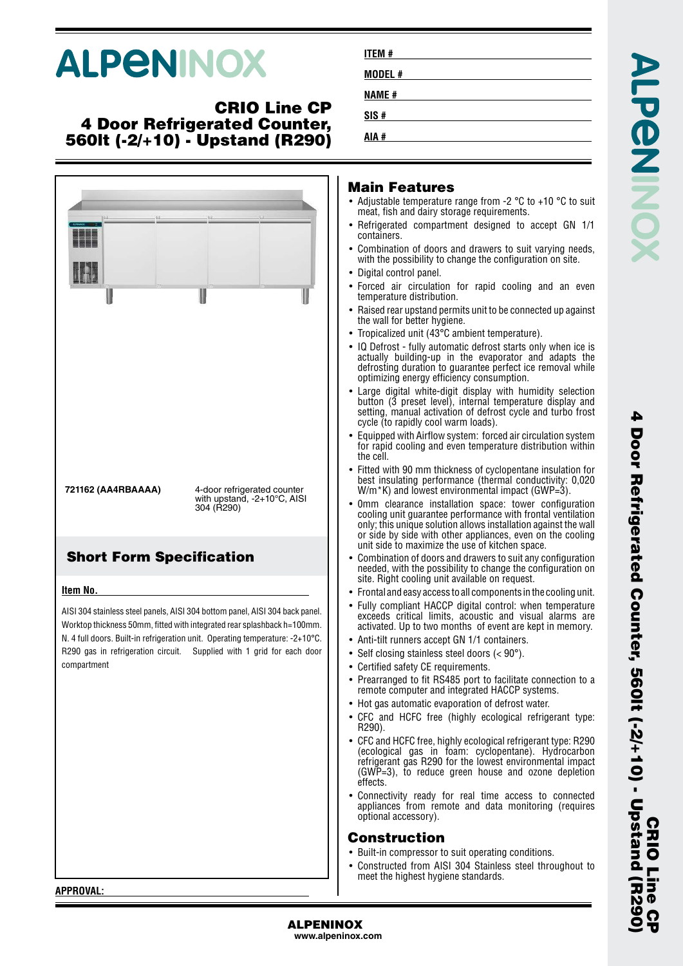# **ALPENINOX**

#### **CRIO Line CP 4 Door Refrigerated Counter, 560lt (-2/+10) - Upstand (R290)**

|            |                                 | <b>Main Fea</b><br>• Adjustable ter<br>meat. fish and<br>$\bullet$ Refrigerated<br>containers.<br>• Combination<br>with the possi<br>• Digital control<br>• Forced air cl<br>temperature d<br>• Raised rear up<br>the wall for be                                                                                                                                                           |
|------------|---------------------------------|---------------------------------------------------------------------------------------------------------------------------------------------------------------------------------------------------------------------------------------------------------------------------------------------------------------------------------------------------------------------------------------------|
| 304 (R290) |                                 | • Tropicalized u<br>• IQ Defrost - fu<br>actually build<br>defrosting dur<br>optimizing en<br>$\bullet$ Large digital<br>button (3 pre<br>setting, manu<br>cycle (to rapid<br>• Equipped with<br>for rapid cool<br>the cell.<br>• Fitted with 90<br>best insulatin<br>$W/m$ <sup>*</sup> K) and I<br>• 0mm clearan<br>cooling unit g<br>only; this uniq<br>or side by sid<br>unit side to m |
|            |                                 | • Combination o<br>needed, with t<br>site. Right cod                                                                                                                                                                                                                                                                                                                                        |
|            |                                 | • Frontal and eas<br>• Fully compliar<br>exceeds critio<br>activated. Up f<br>$\bullet\,$ Anti-tilt runne<br>• Self closing st<br>• Certified safet<br>• Prearranged t<br>remote compi<br>• Hot gas auton<br>• CFC and HCI<br>R290).<br>• CFC and HCFC<br>(ecological g<br>refrigerant ga<br>(GWP=3), to<br>effects.<br>• Connectivity<br>appliances fro<br>optional acces<br>Construc      |
|            |                                 | • Built-in compr<br>• Constructed f<br>meet the high                                                                                                                                                                                                                                                                                                                                        |
|            | <b>Short Form Specification</b> | 4-door refrigerated counter<br>with upstand, $-2+10^{\circ}$ C, AISI<br>AISI 304 stainless steel panels, AISI 304 bottom panel, AISI 304 back panel.<br>Worktop thickness 50mm, fitted with integrated rear splashback h=100mm.<br>N. 4 full doors. Built-in refrigeration unit. Operating temperature: -2+10°C.<br>R290 gas in refrigeration circuit. Supplied with 1 grid for each door   |

| <b>ITEM#</b> |  |
|--------------|--|
| MODEL #      |  |
| <b>NAME#</b> |  |
| SIS#         |  |
| AIA #        |  |

#### **Main Features**

- mperature range from -2  $^{\circ}$ C to +10  $^{\circ}$ C to suit dairy storage requirements.
- compartment designed to accept GN 1/1
- of doors and drawers to suit varying needs, ibility to change the configuration on site.
- nanel.
- irculation for rapid cooling and an even listribution.
- stand permits unit to be connected up against etter hygiene.
- nit (43°C ambient temperature).
- ally automatic defrost starts only when ice is ing-up in the evaporator and adapts the ration to guarantee perfect ice removal while ergy efficiency consumption.
- white-digit display with humidity selection set level), internal temperature display and al activation of defrost cycle and turbo frost fly cool warm loads).
- Airflow system: forced air circulation system ing and even temperature distribution within
- mm thickness of cyclopentane insulation for a performance (thermal conductivity: 0.020  $owest$  environmental impact (GWP=3).
- ice installation space: tower configuration uarantee performance with frontal ventilation ue solution allows installation against the wall or with other appliances, even on the cooling aximize the use of kitchen space.
- of doors and drawers to suit any configuration the possibility to change the configuration on bling unit available on request.
- sy access to all components in the cooling unit.
- nt HACCP digital control: when temperature cal limits, acoustic and visual alarms are to two months of event are kept in memory.
- rs accept GN 1/1 containers.
- $t$ ainless steel doors (< 90°).
- v CE requirements.
- o fit RS485 port to facilitate connection to a uter and integrated HACCP systems.
- natic evaporation of defrost water.
- -C free (highly ecological refrigerant type:
- free, highly ecological refrigerant type: R290 as in foam: cyclopentane). Hydrocarbon s R290 for the lowest environmental impact reduce green house and ozone depletion
- ready for real time access to connected om remote and data monitoring (requires ssory).

#### **Construction**

- ressor to suit operating conditions.
- rom AISI 304 Stainless steel throughout to est hygiene standards.

**CRIO Line CP**

**UR** 

CRIO<sub>L</sub>

**4 Door Refrigerated Counter, 560lt (-2/+10) - Upstand (R290)**

Door Refrigerated Counter, 560lt (-2/+10) - Upstand (R290

4

**ALPENINOX**

**www.alpeninox.com**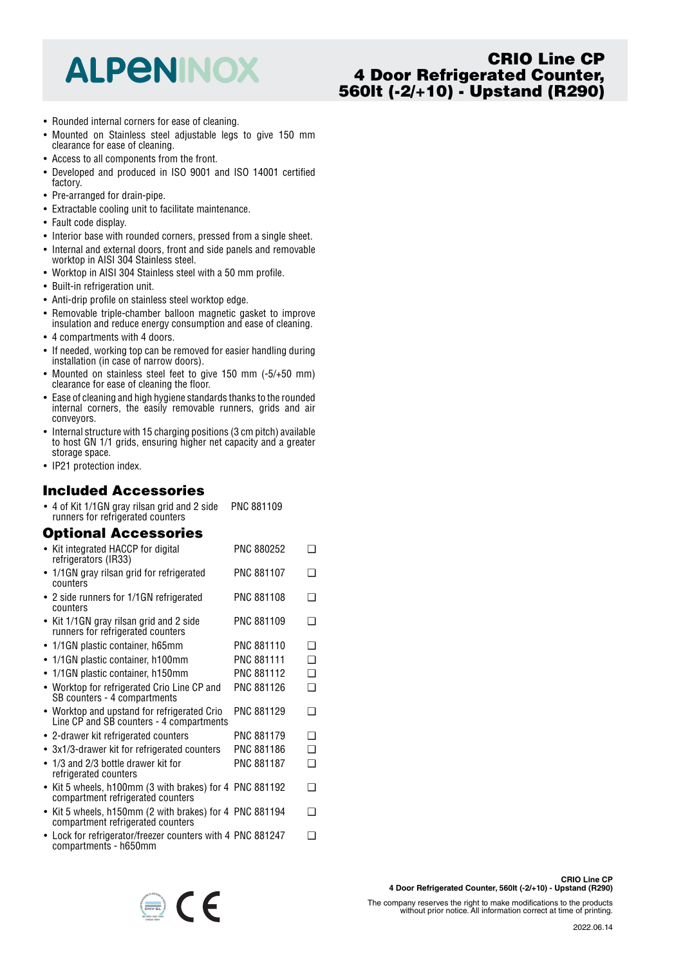## **ALPENINOX**

### **CRIO Line CP 4 Door Refrigerated Counter, 560lt (-2/+10) - Upstand (R290)**

- Rounded internal corners for ease of cleaning.
- Mounted on Stainless steel adjustable legs to give 150 mm clearance for ease of cleaning.
- Access to all components from the front.
- Developed and produced in ISO 9001 and ISO 14001 certified factory.
- Pre-arranged for drain-pipe.
- Extractable cooling unit to facilitate maintenance.
- Fault code display.
- Interior base with rounded corners, pressed from a single sheet.
- Internal and external doors, front and side panels and removable worktop in AISI 304 Stainless steel.
- Worktop in AISI 304 Stainless steel with a 50 mm profile.
- Built-in refrigeration unit.
- Anti-drip profile on stainless steel worktop edge.
- Removable triple-chamber balloon magnetic gasket to improve insulation and reduce energy consumption and ease of cleaning.
- 4 compartments with 4 doors.
- If needed, working top can be removed for easier handling during installation (in case of narrow doors).
- Mounted on stainless steel feet to give 150 mm (-5/+50 mm) clearance for ease of cleaning the floor.
- Ease of cleaning and high hygiene standards thanks to the rounded internal corners, the easily removable runners, grids and air conveyors.
- Internal structure with 15 charging positions (3 cm pitch) available to host GN 1/1 grids, ensuring higher net capacity and a greater storage space.
- IP21 protection index.

## **Included Accessories**

• 4 of Kit 1/1GN gray rilsan grid and 2 side runners for refrigerated counters PNC 881109

## **Optional Accessories**

| • Kit integrated HACCP for digital<br>refrigerators (IR33)                                   | PNC 880252        | ❏        |
|----------------------------------------------------------------------------------------------|-------------------|----------|
| • 1/1GN gray rilsan grid for refrigerated<br>counters                                        | <b>PNC 881107</b> | ❏        |
| • 2 side runners for 1/1GN refrigerated<br>counters                                          | PNC 881108        | ❏        |
| • Kit 1/1GN gray rilsan grid and 2 side<br>runners for refrigerated counters                 | PNC 881109        | ❏        |
| • 1/1GN plastic container, h65mm                                                             | PNC 881110        | <b>□</b> |
| • 1/1GN plastic container, h100mm                                                            | <b>PNC 881111</b> | ◻        |
| 1/1GN plastic container, h150mm<br>$\bullet$                                                 | PNC 881112        | □        |
| • Worktop for refrigerated Crio Line CP and<br>SB counters - 4 compartments                  | PNC 881126        | ❏        |
| • Worktop and upstand for refrigerated Crio<br>Line CP and SB counters - 4 compartments      | PNC 881129        | ❏        |
| • 2-drawer kit refrigerated counters                                                         | <b>PNC 881179</b> | ◻        |
| • 3x1/3-drawer kit for refrigerated counters                                                 | PNC 881186        | ❏        |
| • 1/3 and 2/3 bottle drawer kit for<br>refrigerated counters                                 | <b>PNC 881187</b> | ◻        |
| • Kit 5 wheels, h100mm (3 with brakes) for 4 PNC 881192<br>compartment refrigerated counters |                   | ❏        |
| • Kit 5 wheels, h150mm (2 with brakes) for 4 PNC 881194<br>compartment refrigerated counters |                   | $\Box$   |
| • Lock for refrigerator/freezer counters with 4 PNC 881247<br>compartments - h650mm          |                   | ∩        |

 $\epsilon$ 

The company reserves the right to make modifications to the products without prior notice. All information correct at time of printing.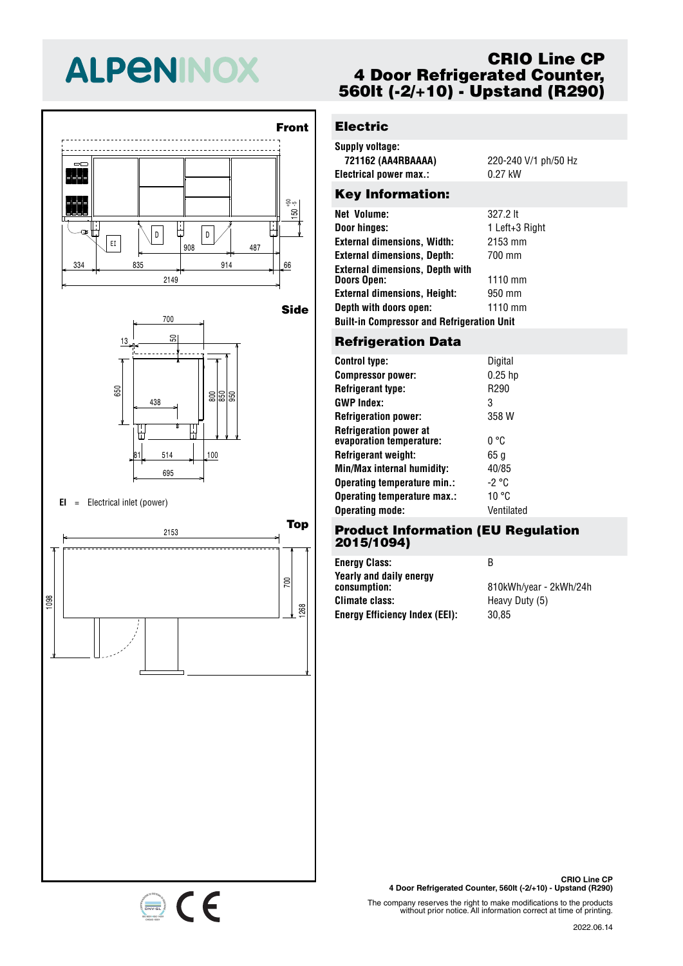# **ALPENINOX**





#### **EI** <sup>=</sup> Electrical inlet (power)

334 835 914 66 <sup>908</sup> <sup>487</sup> EI



### **CRIO Line CP 4 Door Refrigerated Counter, 560lt (-2/+10) - Upstand (R290)**

## **Electric**

| Supply voltage:        |                      |
|------------------------|----------------------|
| 721162 (AA4RBAAAA)     | 220-240 V/1 ph/50 Hz |
| Electrical power max.: | $0.27$ kW            |
|                        |                      |

#### Key Information:

| Net Volume:                                       | 327.2 lt       |  |  |  |
|---------------------------------------------------|----------------|--|--|--|
| Door hinges:                                      | 1 Left+3 Right |  |  |  |
| <b>External dimensions, Width:</b>                | 2153 mm        |  |  |  |
| <b>External dimensions, Depth:</b>                | 700 mm         |  |  |  |
| External dimensions. Depth with                   |                |  |  |  |
| Doors Open:                                       | 1110 mm        |  |  |  |
| <b>External dimensions, Height:</b>               | 950 mm         |  |  |  |
| Depth with doors open:                            | $1110$ mm      |  |  |  |
| <b>Built-in Compressor and Refrigeration Unit</b> |                |  |  |  |
|                                                   |                |  |  |  |

#### 700 **Refrigeration Data**

| <b>Control type:</b>                                      | Digital    |
|-----------------------------------------------------------|------------|
| <b>Compressor power:</b>                                  | $0.25$ hp  |
| <b>Refrigerant type:</b>                                  | R290       |
| <b>GWP Index:</b>                                         | 3          |
| <b>Refrigeration power:</b>                               | 358 W      |
| <b>Refrigeration power at</b><br>evaporation temperature: | 0 °C       |
| Refrigerant weight:                                       | 65 a       |
| Min/Max internal humidity:                                | 40/85      |
| Operating temperature min.:                               | -2 °C      |
| Operating temperature max.:                               | 10 °C      |
| <b>Operating mode:</b>                                    | Ventilated |

#### 700 **Product Information (EU Regulation** 50 **2015/1094)**

438 805 855 955 **Energy Efficiency Index (EEI):** 30,85 **Energy Class:** B **Yearly and daily energy Climate class:** Heavy Duty (5)

**consumption:** 810kWh/year - 2kWh/24h

**CRIO Line CP 4 Door Refrigerated Counter, 560lt (-2/+10) - Upstand (R290)**

The company reserves the right to make modifications to the products without prior notice. All information correct at time of printing.

2022.06.14